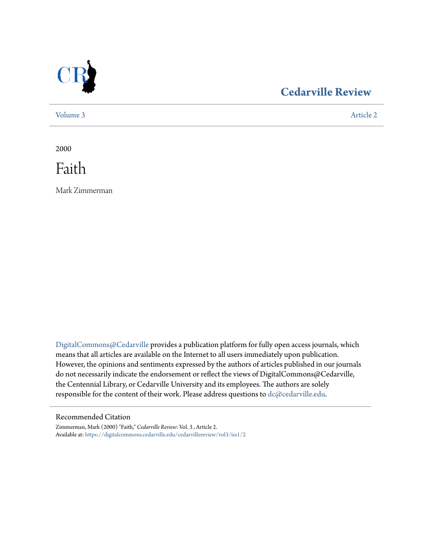

### **[Cedarville Review](https://digitalcommons.cedarville.edu/cedarvillereview?utm_source=digitalcommons.cedarville.edu%2Fcedarvillereview%2Fvol3%2Fiss1%2F2&utm_medium=PDF&utm_campaign=PDFCoverPages)**

[Volume 3](https://digitalcommons.cedarville.edu/cedarvillereview/vol3?utm_source=digitalcommons.cedarville.edu%2Fcedarvillereview%2Fvol3%2Fiss1%2F2&utm_medium=PDF&utm_campaign=PDFCoverPages) [Article 2](https://digitalcommons.cedarville.edu/cedarvillereview/vol3/iss1/2?utm_source=digitalcommons.cedarville.edu%2Fcedarvillereview%2Fvol3%2Fiss1%2F2&utm_medium=PDF&utm_campaign=PDFCoverPages)

2000

Faith

Mark Zimmerman

[DigitalCommons@Cedarville](http://digitalcommons.cedarville.edu) provides a publication platform for fully open access journals, which means that all articles are available on the Internet to all users immediately upon publication. However, the opinions and sentiments expressed by the authors of articles published in our journals do not necessarily indicate the endorsement or reflect the views of DigitalCommons@Cedarville, the Centennial Library, or Cedarville University and its employees. The authors are solely responsible for the content of their work. Please address questions to [dc@cedarville.edu](mailto:dc@cedarville.edu).

### Recommended Citation

Zimmerman, Mark (2000) "Faith," *Cedarville Review*: Vol. 3 , Article 2. Available at: [https://digitalcommons.cedarville.edu/cedarvillereview/vol3/iss1/2](https://digitalcommons.cedarville.edu/cedarvillereview/vol3/iss1/2?utm_source=digitalcommons.cedarville.edu%2Fcedarvillereview%2Fvol3%2Fiss1%2F2&utm_medium=PDF&utm_campaign=PDFCoverPages)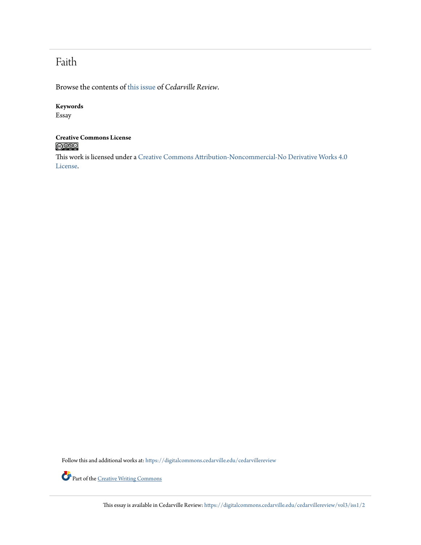### Faith

Browse the contents of [this issue](https://digitalcommons.cedarville.edu/cedarvillereview/vol3/iss1) of *Cedarville Review*.

#### **Keywords**

Essay

# **Creative Commons License**

This work is licensed under a [Creative Commons Attribution-Noncommercial-No Derivative Works 4.0](http://creativecommons.org/licenses/by-nc-nd/4.0/) [License.](http://creativecommons.org/licenses/by-nc-nd/4.0/)

Follow this and additional works at: [https://digitalcommons.cedarville.edu/cedarvillereview](https://digitalcommons.cedarville.edu/cedarvillereview?utm_source=digitalcommons.cedarville.edu%2Fcedarvillereview%2Fvol3%2Fiss1%2F2&utm_medium=PDF&utm_campaign=PDFCoverPages)



Part of the <u>[Creative Writing Commons](http://network.bepress.com/hgg/discipline/574?utm_source=digitalcommons.cedarville.edu%2Fcedarvillereview%2Fvol3%2Fiss1%2F2&utm_medium=PDF&utm_campaign=PDFCoverPages)</u>

This essay is available in Cedarville Review: [https://digitalcommons.cedarville.edu/cedarvillereview/vol3/iss1/2](https://digitalcommons.cedarville.edu/cedarvillereview/vol3/iss1/2?utm_source=digitalcommons.cedarville.edu%2Fcedarvillereview%2Fvol3%2Fiss1%2F2&utm_medium=PDF&utm_campaign=PDFCoverPages)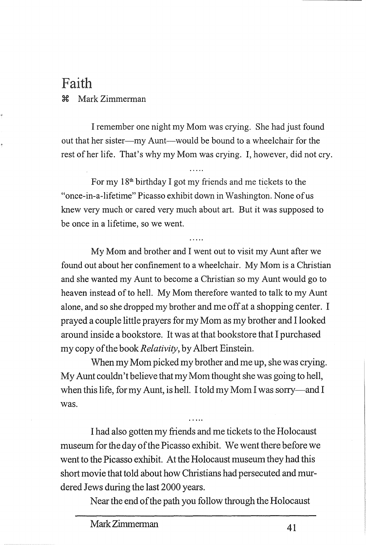## Faith ~ Mark Zimmerman

I remember one night my Mom was crying. She had just found out that her sister-my Aunt-would be bound to a wheelchair for the rest of her life. That's why my Mom was crying. I, however, did not cry.

For my  $18<sup>th</sup>$  birthday I got my friends and me tickets to the "once-in-a-lifetime" Picasso exhibit down in Washington. None of us knew very much or cared very much about art. But it was supposed to be once in a lifetime, so we went.

My Mom and brother and I went out to visit my Aunt after we found out about her confinement to a wheelchair. My Mom is a Christian and she wanted my Aunt to become a Christian so my Aunt would go to heaven instead of to hell. My Mom therefore wanted to talk to my Aunt alone, and so she dropped my brother and me off at a shopping center. I prayed a couple little prayers for my Mom as my brother and I looked around inside a bookstore. It was at that bookstore that I purchased my copy of the book *Relativity,* by Albert Einstein.

When my Mom picked my brother and me up, she was crying. My Aunt couldn't believe that my Mom thought she was going to hell, when this life, for my Aunt, is hell. I told my Mom I was sorry—and I was.

I had also gotten my friends and me tickets to the Holocaust museum for the day of the Picasso exhibit. We went there before we went to the Picasso exhibit. At the Holocaust museum they had this short movie that told about how Christians had persecuted and murdered Jews during the last 2000 years.

Near the end of the path you follow through the Holocaust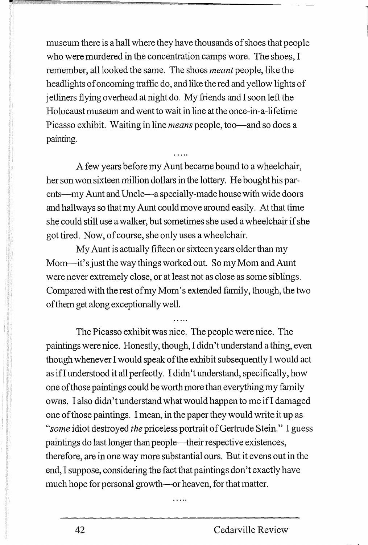museum there is a hall where they have thousands of shoes that people who were murdered in the concentration camps wore. The shoes, I remember, all looked the same. The shoes *meant* people, like the headlights of oncoming traffic do, and like the red and yellow lights of jetliners flying overhead at night do. My friends and I soon left the Holocaust museum and went to wait in line at the once-in-a-lifetime Picasso exhibit. Waiting in line *means* people, too—and so does a painting.

A few years before my Aunt became bound to a wheelchair, her son won sixteen million dollars in the lottery. He bought his parents-my Aunt and Uncle-a specially-made house with wide doors and hallways so that my Aunt could move around easily. At that time she could still use a walker, but sometimes she used a wheelchair if she got tired. Now, of course, she only uses a wheelchair.

My Aunt is actually fifteen or sixteen years older than my Mom-it's just the way things worked out. So my Mom and Aunt were never extremely close, or at least not as close as some siblings. Compared with the rest of my Mom's extended family, though, the two of them get along exceptionally well.

The Picasso exhibit was nice. The people were nice. The paintings were nice. Honestly, though, I didn't understand a thing, even though whenever I would speak of the exhibit subsequently I would act as ifl understood it all perfectly. I didn't understand, specifically, how one of those paintings could be worth more than everything my family owns. I also didn't understand what would happen to me ifl damaged one of those paintings. I mean, in the paper they would write it up as *"some* idiot destroyed *the* priceless portrait of Gertrude Stein." I guess paintings do last longer than people-their respective existences, therefore, are in one way more substantial ours. But it evens out in the end, I suppose, considering the fact that paintings don't exactly have much hope for personal growth-or heaven, for that matter.

 $1.1.1.1$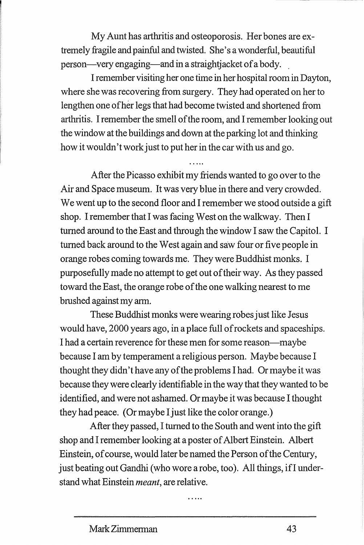My Aunt has arthritis and osteoporosis. Her bones are extremely fragile and painful and twisted. She's a wonderful, beautiful person—very engaging—and in a straightjacket of a body.

I remember visiting her one time in her hospital room in Dayton, where she was recovering from surgery. They had operated on her to lengthen one of her legs that had become twisted and shortened from arthritis. I remember the smell of the room, and I remember looking out the window at the buildings and down at the parking lot and thinking how it wouldn't work just to put her in the car with us and go.

After the Picasso exhibit my friends wanted to go over to the Air and Space museum. It was very blue in there and very crowded. We went up to the second floor and I remember we stood outside a gift shop. I remember that I was facing West on the walkway. Then I turned around to the East and through the window I saw the Capitol. I turned back around to the West again and saw four or five people in orange robes coming towards me. They were Buddhist monks. I purposefully made no attempt to get out of their way. As they passed toward the East, the orange robe of the one walking nearest to me brushed against my arm.

These Buddhist monks were wearing robes just like Jesus would have, 2000 years ago, in a place full of rockets and spaceships. I had a certain reverence for these men for some reason-maybe because I am by temperament a religious person. Maybe because I thought they didn't have any of the problems I had. Or maybe it was because they were clearly identifiable in the way that they wanted to be identified, and were not ashamed. Or maybe it was because I thought they had peace. (Or maybe I just like the color orange.)

After they passed, I turned to the South and went into the gift shop and I remember looking at a poster of Albert Einstein. Albert Einstein, of course, would later be named the Person of the Century, just beating out Gandhi (who wore a robe, too). All things, if I understand what Einstein *meant,* are relative.

 $\cdots$